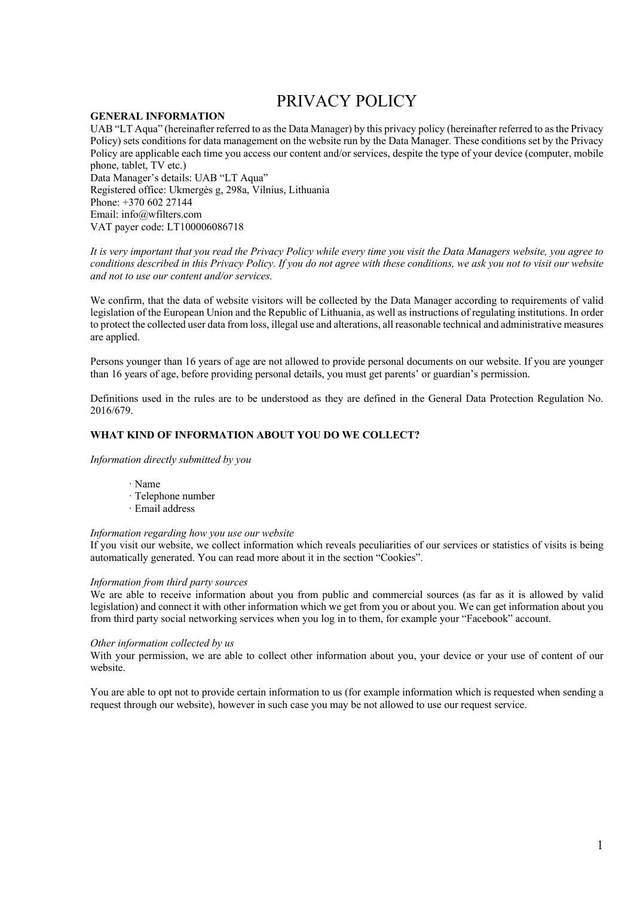# PRIVACY POLICY

## **GENERAL INFORMATION**

UAB "LT Aqua" (hereinafter referred to as the Data Manager) by this privacy policy (hereinafter referred to as the Privacy Policy) sets conditions for data management on the website run by the Data Manager. These conditions set by the Privacy Policy are applicable each time you access our content and/or services, despite the type of your device (computer, mobile phone, tablet, TV etc.) Data Manager's details: UAB "LT Aqua" Registered office: Ukmergės g, 298a, Vilnius, Lithuania Phone: +370 602 27144

Email: info@wfilters.com VAT payer code: LT100006086718

*It is very important that you read the Privacy Policy while every time you visit the Data Managers website, you agree to conditions described in this Privacy Policy. If you do not agree with these conditions, we ask you not to visit our website and not to use our content and/or services.*

We confirm, that the data of website visitors will be collected by the Data Manager according to requirements of valid legislation of the European Union and the Republic of Lithuania, as well as instructions of regulating institutions. In order to protect the collected user data from loss, illegal use and alterations, all reasonable technical and administrative measures are applied.

Persons younger than 16 years of age are not allowed to provide personal documents on our website. If you are younger than 16 years of age, before providing personal details, you must get parents' or guardian's permission.

Definitions used in the rules are to be understood as they are defined in the General Data Protection Regulation No. 2016/679.

### **WHAT KIND OF INFORMATION ABOUT YOU DO WE COLLECT?**

*Information directly submitted by you* 

- · Name
- · Telephone number
- · Email address

#### *Information regarding how you use our website*

If you visit our website, we collect information which reveals peculiarities of our services or statistics of visits is being automatically generated. You can read more about it in the section "Cookies".

### *Information from third party sources*

We are able to receive information about you from public and commercial sources (as far as it is allowed by valid legislation) and connect it with other information which we get from you or about you. We can get information about you from third party social networking services when you log in to them, for example your "Facebook" account.

#### *Other information collected by us*

With your permission, we are able to collect other information about you, your device or your use of content of our website.

You are able to opt not to provide certain information to us (for example information which is requested when sending a request through our website), however in such case you may be not allowed to use our request service.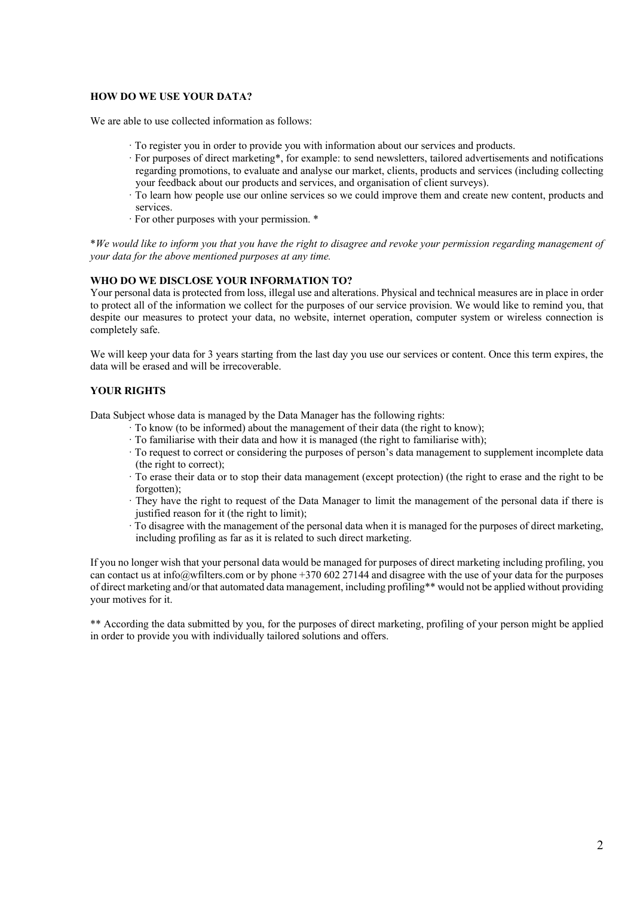## **HOW DO WE USE YOUR DATA?**

We are able to use collected information as follows:

- · To register you in order to provide you with information about our services and products.
- · For purposes of direct marketing\*, for example: to send newsletters, tailored advertisements and notifications regarding promotions, to evaluate and analyse our market, clients, products and services (including collecting your feedback about our products and services, and organisation of client surveys).
- · To learn how people use our online services so we could improve them and create new content, products and services.
- · For other purposes with your permission. \*

\**We would like to inform you that you have the right to disagree and revoke your permission regarding management of your data for the above mentioned purposes at any time.*

### **WHO DO WE DISCLOSE YOUR INFORMATION TO?**

Your personal data is protected from loss, illegal use and alterations. Physical and technical measures are in place in order to protect all of the information we collect for the purposes of our service provision. We would like to remind you, that despite our measures to protect your data, no website, internet operation, computer system or wireless connection is completely safe.

We will keep your data for 3 years starting from the last day you use our services or content. Once this term expires, the data will be erased and will be irrecoverable.

# **YOUR RIGHTS**

Data Subject whose data is managed by the Data Manager has the following rights:

- · To know (to be informed) about the management of their data (the right to know);
- · To familiarise with their data and how it is managed (the right to familiarise with);
- · To request to correct or considering the purposes of person's data management to supplement incomplete data (the right to correct);
- · To erase their data or to stop their data management (except protection) (the right to erase and the right to be forgotten);
- · They have the right to request of the Data Manager to limit the management of the personal data if there is justified reason for it (the right to limit);
- · To disagree with the management of the personal data when it is managed for the purposes of direct marketing, including profiling as far as it is related to such direct marketing.

If you no longer wish that your personal data would be managed for purposes of direct marketing including profiling, you can contact us at info@wfilters.com or by phone +370 602 27144 and disagree with the use of your data for the purposes of direct marketing and/or that automated data management, including profiling\*\* would not be applied without providing your motives for it.

\*\* According the data submitted by you, for the purposes of direct marketing, profiling of your person might be applied in order to provide you with individually tailored solutions and offers.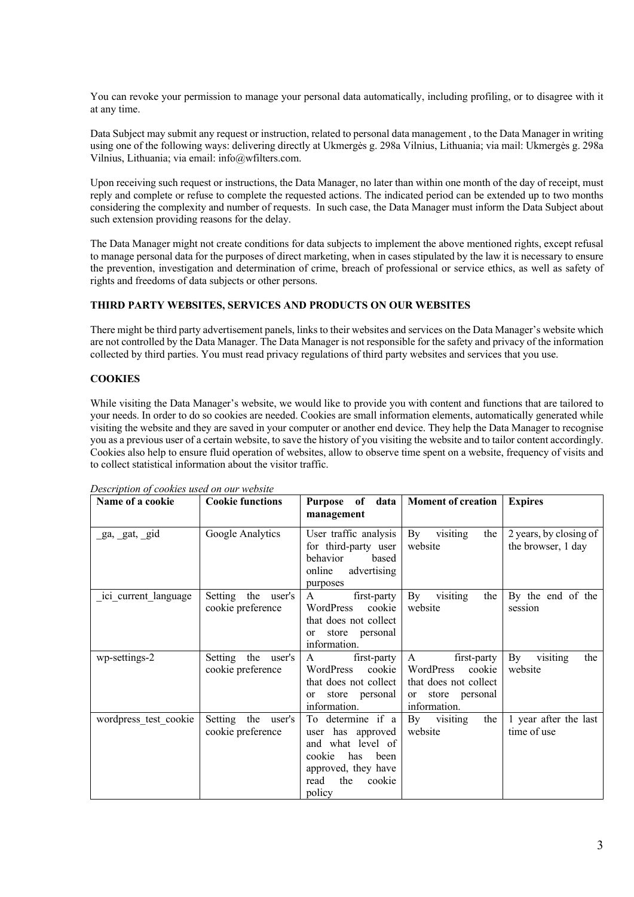You can revoke your permission to manage your personal data automatically, including profiling, or to disagree with it at any time.

Data Subject may submit any request or instruction, related to personal data management , to the Data Manager in writing using one of the following ways: delivering directly at Ukmergės g. 298a Vilnius, Lithuania; via mail: Ukmergės g. 298a Vilnius, Lithuania; via email: info@wfilters.com.

Upon receiving such request or instructions, the Data Manager, no later than within one month of the day of receipt, must reply and complete or refuse to complete the requested actions. The indicated period can be extended up to two months considering the complexity and number of requests. In such case, the Data Manager must inform the Data Subject about such extension providing reasons for the delay.

The Data Manager might not create conditions for data subjects to implement the above mentioned rights, except refusal to manage personal data for the purposes of direct marketing, when in cases stipulated by the law it is necessary to ensure the prevention, investigation and determination of crime, breach of professional or service ethics, as well as safety of rights and freedoms of data subjects or other persons.

# **THIRD PARTY WEBSITES, SERVICES AND PRODUCTS ON OUR WEBSITES**

There might be third party advertisement panels, links to their websites and services on the Data Manager's website which are not controlled by the Data Manager. The Data Manager is not responsible for the safety and privacy of the information collected by third parties. You must read privacy regulations of third party websites and services that you use.

## **COOKIES**

While visiting the Data Manager's website, we would like to provide you with content and functions that are tailored to your needs. In order to do so cookies are needed. Cookies are small information elements, automatically generated while visiting the website and they are saved in your computer or another end device. They help the Data Manager to recognise you as a previous user of a certain website, to save the history of you visiting the website and to tailor content accordingly. Cookies also help to ensure fluid operation of websites, allow to observe time spent on a website, frequency of visits and to collect statistical information about the visitor traffic.

| Name of a cookie      | <b>Cookie functions</b> | of<br>data<br><b>Purpose</b><br>management | Moment of creation               | <b>Expires</b>         |
|-----------------------|-------------------------|--------------------------------------------|----------------------------------|------------------------|
|                       |                         |                                            |                                  |                        |
| ga, gat, gid          | Google Analytics        | User traffic analysis                      | visiting<br>$\mathbf{By}$<br>the | 2 years, by closing of |
|                       |                         | for third-party user<br>behavior<br>based  | website                          | the browser, 1 day     |
|                       |                         | advertising<br>online                      |                                  |                        |
|                       |                         | purposes                                   |                                  |                        |
| ici current language  | Setting the user's      | $\mathsf{A}$<br>first-party                | visiting<br>By<br>the            | By the end of the      |
|                       | cookie preference       | WordPress<br>cookie                        | website                          | session                |
|                       |                         | that does not collect                      |                                  |                        |
|                       |                         | or store personal<br>information.          |                                  |                        |
| wp-settings-2         | Setting the user's      | first-party<br>$\mathsf{A}$                | A<br>first-party                 | By<br>visiting<br>the  |
|                       | cookie preference       | cookie<br>WordPress                        | WordPress<br>cookie              | website                |
|                       |                         | that does not collect                      | that does not collect            |                        |
|                       |                         | or store personal                          | or store personal                |                        |
|                       |                         | information.                               | information.                     |                        |
| wordpress test cookie | Setting the user's      | To determine if a                          | By visiting<br>the               | 1 year after the last  |
|                       | cookie preference       | user has approved                          | website                          | time of use            |
|                       |                         | and what level of                          |                                  |                        |
|                       |                         | cookie<br>has<br>been                      |                                  |                        |
|                       |                         | approved, they have                        |                                  |                        |
|                       |                         | read<br>the<br>cookie                      |                                  |                        |
|                       |                         | policy                                     |                                  |                        |

*Description of cookies used on our website*